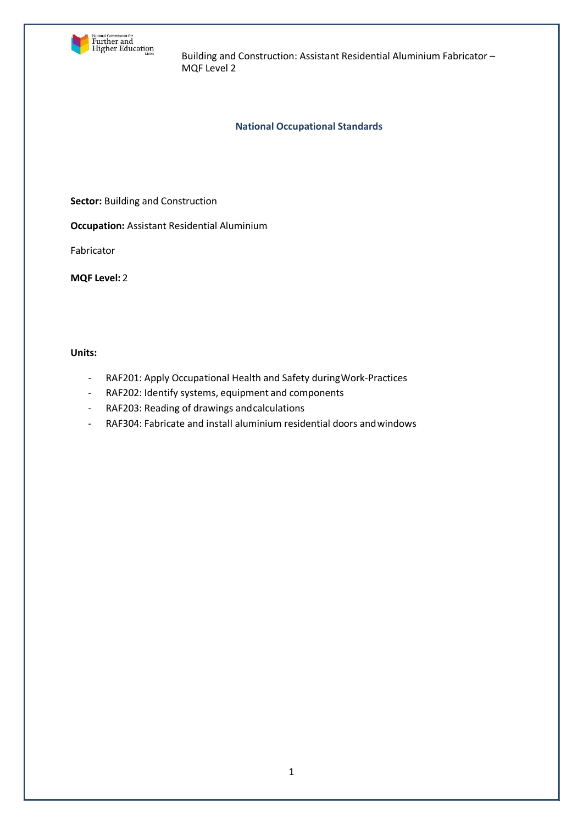

#### **National Occupational Standards**

**Sector:** Building and Construction

**Occupation:** Assistant Residential Aluminium

Fabricator

**MQF Level:** 2

**Units:**

- RAF201: Apply Occupational Health and Safety duringWork-Practices
- RAF202: Identify systems, equipment and components
- RAF203: Reading of drawings andcalculations
- RAF304: Fabricate and install aluminium residential doors andwindows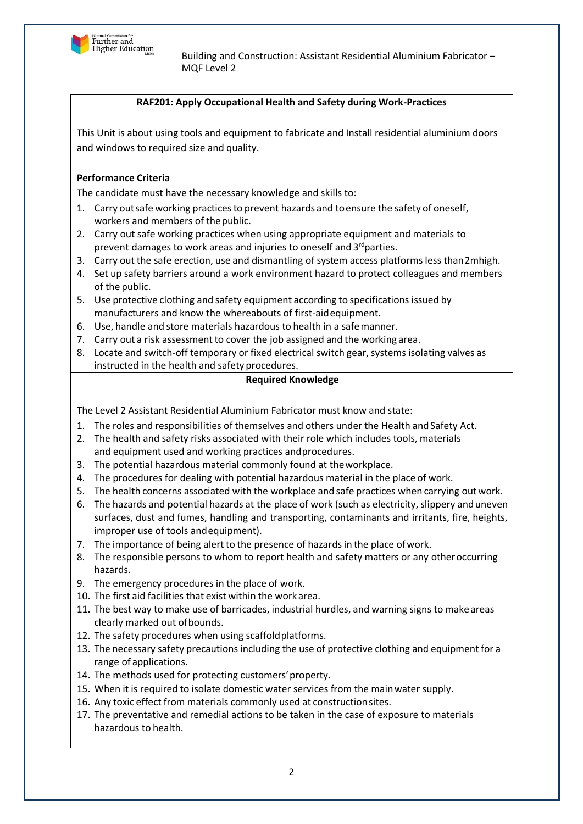

### **RAF201: Apply Occupational Health and Safety during Work-Practices**

This Unit is about using tools and equipment to fabricate and Install residential aluminium doors and windows to required size and quality.

# **Performance Criteria**

The candidate must have the necessary knowledge and skills to:

- 1. Carry outsafe working practicesto prevent hazards and toensure the safety of oneself, workers and members of thepublic.
- 2. Carry out safe working practices when using appropriate equipment and materials to prevent damages to work areas and injuries to oneself and 3<sup>rd</sup>parties.
- 3. Carry out the safe erection, use and dismantling of system access platforms less than2mhigh.
- 4. Set up safety barriers around a work environment hazard to protect colleagues and members of the public.
- 5. Use protective clothing and safety equipment according to specifications issued by manufacturers and know the whereabouts of first-aidequipment.
- 6. Use, handle and store materials hazardous to health in a safemanner.
- 7. Carry out a risk assessment to cover the job assigned and the working area.
- 8. Locate and switch-off temporary or fixed electrical switch gear, systems isolating valves as instructed in the health and safety procedures.

### **Required Knowledge**

The Level 2 Assistant Residential Aluminium Fabricator must know and state:

- 1. The roles and responsibilities of themselves and others under the Health and Safety Act.
- 2. The health and safety risks associated with their role which includes tools, materials and equipment used and working practices andprocedures.
- 3. The potential hazardous material commonly found at theworkplace.
- 4. The procedures for dealing with potential hazardous material in the place of work.
- 5. The health concerns associated with the workplace and safe practices when carrying outwork.
- 6. The hazards and potential hazards at the place of work (such as electricity, slippery and uneven surfaces, dust and fumes, handling and transporting, contaminants and irritants, fire, heights, improper use of tools andequipment).
- 7. The importance of being alert to the presence of hazardsin the place ofwork.
- 8. The responsible persons to whom to report health and safety matters or any otheroccurring hazards.
- 9. The emergency procedures in the place of work.
- 10. The first aid facilities that exist within the workarea.
- 11. The best way to make use of barricades, industrial hurdles, and warning signs to makeareas clearly marked out ofbounds.
- 12. The safety procedures when using scaffoldplatforms.
- 13. The necessary safety precautions including the use of protective clothing and equipment for a range of applications.
- 14. The methods used for protecting customers'property.
- 15. When it is required to isolate domestic water services from the mainwater supply.
- 16. Any toxic effect from materials commonly used at constructionsites.
- 17. The preventative and remedial actions to be taken in the case of exposure to materials hazardous to health.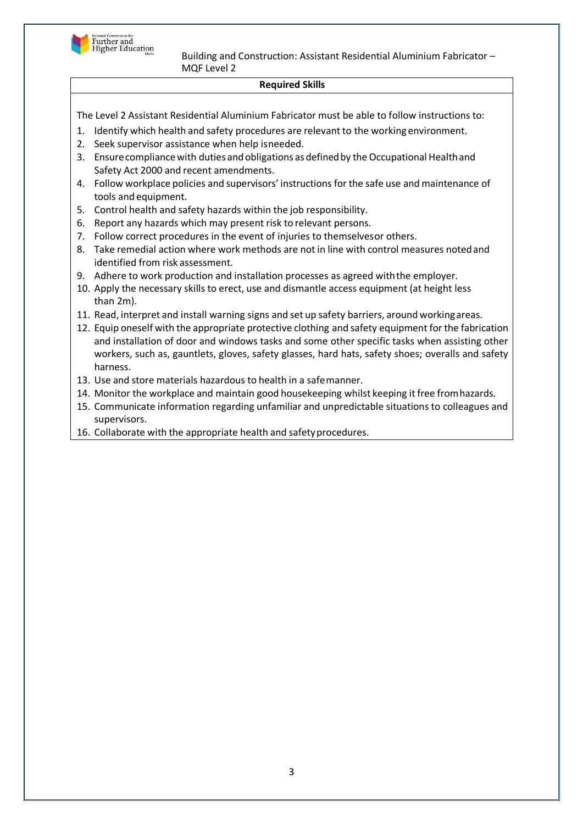

## **Required Skills**

- 1. Identify which health and safety procedures are relevant to the working environment.
- 2. Seek supervisor assistance when help isneeded.
- 3. Ensure compliance with duties and obligations as defined by the Occupational Health and Safety Act 2000 and recent amendments.
- 4. Follow workplace policies and supervisors' instructions for the safe use and maintenance of tools and equipment.
- 5. Control health and safety hazards within the job responsibility.
- 6. Report any hazards which may present risk to relevant persons.
- 7. Follow correct procedures in the event of injuries to themselvesor others.
- 8. Take remedial action where work methods are not in line with control measures notedand identified from risk assessment.
- 9. Adhere to work production and installation processes as agreed withthe employer.
- 10. Apply the necessary skills to erect, use and dismantle access equipment (at height less than 2m).
- 11. Read, interpret and install warning signs and set up safety barriers, around workingareas.
- 12. Equip oneself with the appropriate protective clothing and safety equipment for the fabrication and installation of door and windows tasks and some other specific tasks when assisting other workers, such as, gauntlets, gloves, safety glasses, hard hats, safety shoes; overalls and safety harness.
- 13. Use and store materials hazardous to health in a safemanner.
- 14. Monitor the workplace and maintain good housekeeping whilst keeping it free from hazards.
- 15. Communicate information regarding unfamiliar and unpredictable situations to colleagues and supervisors.
- 16. Collaborate with the appropriate health and safety procedures.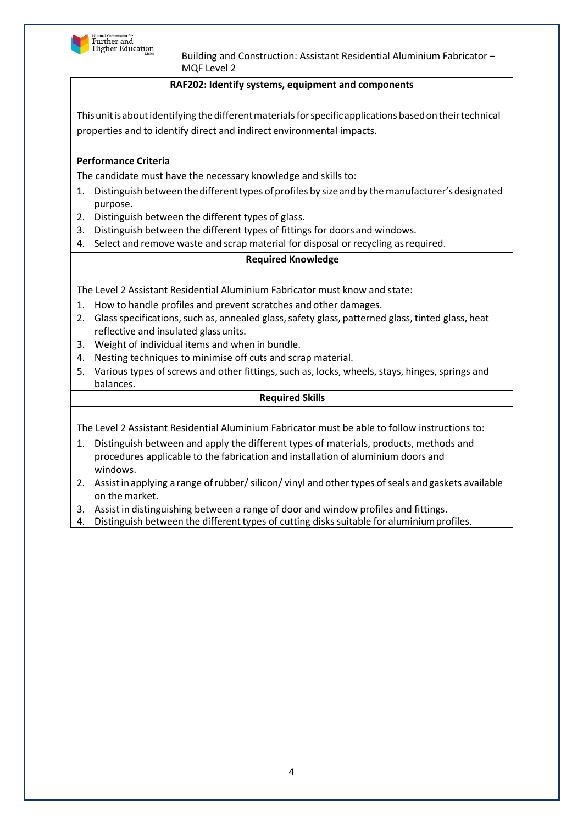

## **RAF202: Identify systems, equipment and components**

Thisunitisaboutidentifying the differentmaterialsforspecificapplications basedontheirtechnical properties and to identify direct and indirect environmental impacts.

## **Performance Criteria**

The candidate must have the necessary knowledge and skills to:

- 1. Distinguish between the different types of profiles by size and by the manufacturer's designated purpose.
- 2. Distinguish between the different types of glass.
- 3. Distinguish between the different types of fittings for doors and windows.
- 4. Select and remove waste and scrap material for disposal or recycling asrequired.

#### **Required Knowledge**

The Level 2 Assistant Residential Aluminium Fabricator must know and state:

- 1. How to handle profiles and prevent scratches and other damages.
- 2. Glass specifications, such as, annealed glass, safety glass, patterned glass, tinted glass, heat reflective and insulated glassunits.
- 3. Weight of individual items and when in bundle.
- 4. Nesting techniques to minimise off cuts and scrap material.
- 5. Various types of screws and other fittings, such as, locks, wheels, stays, hinges, springs and balances.

#### **Required Skills**

- 1. Distinguish between and apply the different types of materials, products, methods and procedures applicable to the fabrication and installation of aluminium doors and windows.
- 2. Assistinapplying a range ofrubber/ silicon/ vinyl andothertypes of seals andgaskets available on the market.
- 3. Assistin distinguishing between a range of door and window profiles and fittings.
- 4. Distinguish between the different types of cutting disks suitable for aluminium profiles.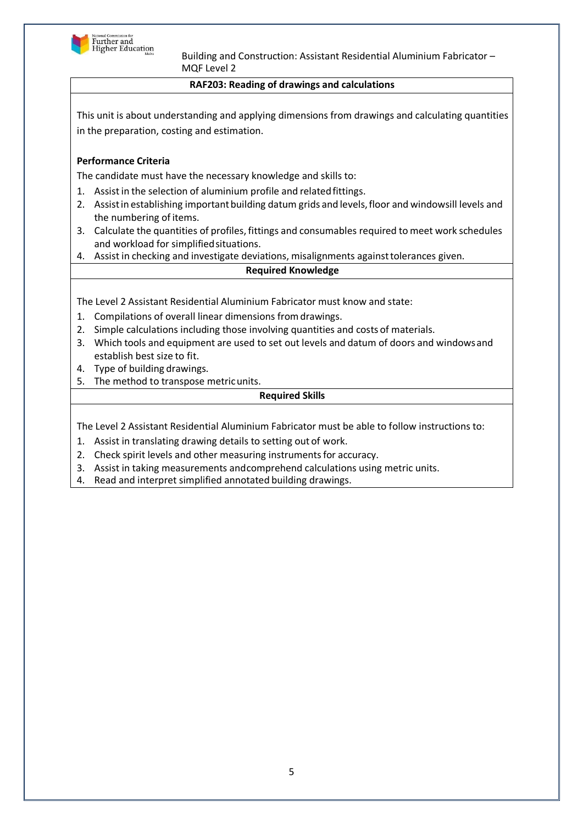

### **RAF203: Reading of drawings and calculations**

This unit is about understanding and applying dimensions from drawings and calculating quantities in the preparation, costing and estimation.

## **Performance Criteria**

The candidate must have the necessary knowledge and skills to:

- 1. Assist in the selection of aluminium profile and related fittings.
- 2. Assist in establishing important building datum grids and levels, floor and windowsill levels and the numbering of items.
- 3. Calculate the quantities of profiles, fittings and consumables required to meet work schedules and workload for simplifiedsituations.
- 4. Assist in checking and investigate deviations, misalignments againsttolerances given.

#### **Required Knowledge**

The Level 2 Assistant Residential Aluminium Fabricator must know and state:

- 1. Compilations of overall linear dimensions fromdrawings.
- 2. Simple calculations including those involving quantities and costs of materials.
- 3. Which tools and equipment are used to set out levels and datum of doors and windowsand establish best size to fit.
- 4. Type of building drawings.
- 5. The method to transpose metricunits.

#### **Required Skills**

- 1. Assist in translating drawing details to setting out of work.
- 2. Check spirit levels and other measuring instruments for accuracy.
- 3. Assist in taking measurements andcomprehend calculations using metric units.
- 4. Read and interpret simplified annotated building drawings.